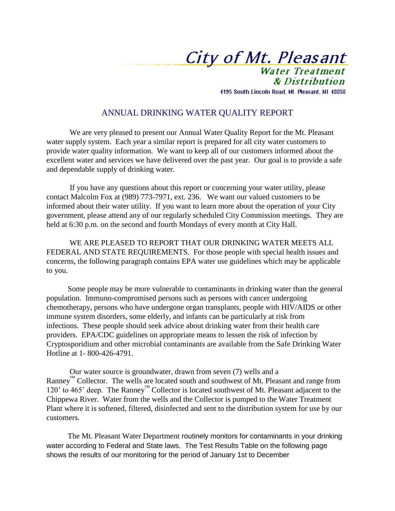City of Mt. Pleasant **Water Treatment** 

& Distribution 4195 South Lincoln Road, Mt. Pleasant, MI 48858

## ANNUAL DRINKING WATER QUALITY REPORT

 We are very pleased to present our Annual Water Quality Report for the Mt. Pleasant water supply system. Each year a similar report is prepared for all city water customers to provide water quality information. We want to keep all of our customers informed about the excellent water and services we have delivered over the past year. Our goal is to provide a safe and dependable supply of drinking water.

 If you have any questions about this report or concerning your water utility, please contact Malcolm Fox at (989) 773-7971, ext. 236.We want our valued customers to be informed about their water utility. If you want to learn more about the operation of your City government, please attend any of our regularly scheduled City Commission meetings. They are held at 6:30 p.m. on the second and fourth Mondays of every month at City Hall.

 WE ARE PLEASED TO REPORT THAT OUR DRINKING WATER MEETS ALL FEDERAL AND STATE REQUIREMENTS. For those people with special health issues and concerns, the following paragraph contains EPA water use guidelines which may be applicable to you.

 Some people may be more vulnerable to contaminants in drinking water than the general population. Immuno-compromised persons such as persons with cancer undergoing chemotherapy, persons who have undergone organ transplants, people with HIV/AIDS or other immune system disorders, some elderly, and infants can be particularly at risk from infections. These people should seek advice about drinking water from their health care providers. EPA/CDC guidelines on appropriate means to lessen the risk of infection by Cryptosporidium and other microbial contaminants are available from the Safe Drinking Water Hotline at 1- 800-426-4791.

 Our water source is groundwater, drawn from seven (7) wells and a Ranney<sup>™</sup> Collector. The wells are located south and southwest of Mt. Pleasant and range from 120' to 465' deep. The Ranney™ Collector is located southwest of Mt. Pleasant adjacent to the Chippewa River. Water from the wells and the Collector is pumped to the Water Treatment Plant where it is softened, filtered, disinfected and sent to the distribution system for use by our customers.

 The Mt. Pleasant Water Department routinely monitors for contaminants in your drinking water according to Federal and State laws. The Test Results Table on the following page shows the results of our monitoring for the period of January 1st to December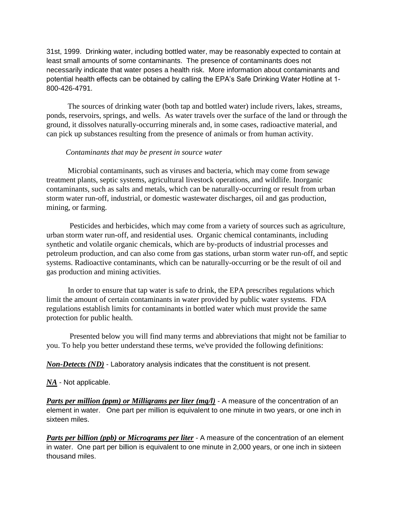31st, 1999.Drinking water, including bottled water, may be reasonably expected to contain at least small amounts of some contaminants. The presence of contaminants does not necessarily indicate that water poses a health risk. More information about contaminants and potential health effects can be obtained by calling the EPA's Safe Drinking Water Hotline at 1- 800-426-4791.

 The sources of drinking water (both tap and bottled water) include rivers, lakes, streams, ponds, reservoirs, springs, and wells. As water travels over the surface of the land or through the ground, it dissolves naturally-occurring minerals and, in some cases, radioactive material, and can pick up substances resulting from the presence of animals or from human activity.

## *Contaminants that may be present in source water*

 Microbial contaminants, such as viruses and bacteria, which may come from sewage treatment plants, septic systems, agricultural livestock operations, and wildlife. Inorganic contaminants, such as salts and metals, which can be naturally-occurring or result from urban storm water run-off, industrial, or domestic wastewater discharges, oil and gas production, mining, or farming.

 Pesticides and herbicides, which may come from a variety of sources such as agriculture, urban storm water run-off, and residential uses. Organic chemical contaminants, including synthetic and volatile organic chemicals, which are by-products of industrial processes and petroleum production, and can also come from gas stations, urban storm water run-off, and septic systems. Radioactive contaminants, which can be naturally-occurring or be the result of oil and gas production and mining activities.

 In order to ensure that tap water is safe to drink, the EPA prescribes regulations which limit the amount of certain contaminants in water provided by public water systems. FDA regulations establish limits for contaminants in bottled water which must provide the same protection for public health.

 Presented below you will find many terms and abbreviations that might not be familiar to you. To help you better understand these terms, we've provided the following definitions:

*Non-Detects (ND)* - Laboratory analysis indicates that the constituent is not present.

## *NA* - Not applicable.

*Parts per million (ppm) or Milligrams per liter (mg/l)* - A measure of the concentration of an element in water. One part per million is equivalent to one minute in two years, or one inch in sixteen miles.

*Parts per billion (ppb) or Micrograms per liter* - A measure of the concentration of an element in water. One part per billion is equivalent to one minute in 2,000 years, or one inch in sixteen thousand miles.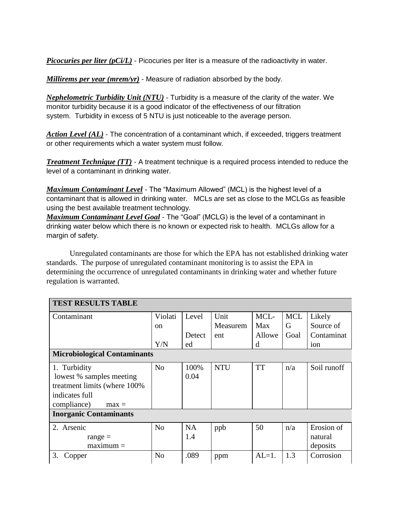*Picocuries per liter (pCi/L)* - Picocuries per liter is a measure of the radioactivity in water.

*Millirems per year (mrem/yr)* - Measure of radiation absorbed by the body.

*Nephelometric Turbidity Unit (NTU)* - Turbidity is a measure of the clarity of the water. We monitor turbidity because it is a good indicator of the effectiveness of our filtration system. Turbidity in excess of 5 NTU is just noticeable to the average person.

*Action Level (AL)* - The concentration of a contaminant which, if exceeded, triggers treatment or other requirements which a water system must follow.

*Treatment Technique (TT)* - A treatment technique is a required process intended to reduce the level of a contaminant in drinking water.

*Maximum Contaminant Level* - The "Maximum Allowed" (MCL) is the highest level of a contaminant that is allowed in drinking water. MCLs are set as close to the MCLGs as feasible using the best available treatment technology.

*Maximum Contaminant Level Goal* - The "Goal" (MCLG) is the level of a contaminant in drinking water below which there is no known or expected risk to health. MCLGs allow for a margin of safety.

 Unregulated contaminants are those for which the EPA has not established drinking water standards. The purpose of unregulated contaminant monitoring is to assist the EPA in determining the occurrence of unregulated contaminants in drinking water and whether future regulation is warranted.

| <b>TEST RESULTS TABLE</b>           |                |           |            |           |            |             |  |  |  |
|-------------------------------------|----------------|-----------|------------|-----------|------------|-------------|--|--|--|
| Contaminant                         | Violati        | Level     | Unit       | MCL-      | <b>MCL</b> | Likely      |  |  |  |
|                                     | <sub>on</sub>  |           | Measurem   | Max       | G          | Source of   |  |  |  |
|                                     |                | Detect    | ent        | Allowe    | Goal       | Contaminat  |  |  |  |
|                                     | Y/N            | ed        |            | d         |            | ion         |  |  |  |
| <b>Microbiological Contaminants</b> |                |           |            |           |            |             |  |  |  |
| 1. Turbidity                        | N <sub>o</sub> | 100%      | <b>NTU</b> | <b>TT</b> | n/a        | Soil runoff |  |  |  |
| lowest % samples meeting            |                | 0.04      |            |           |            |             |  |  |  |
| treatment limits (where 100%        |                |           |            |           |            |             |  |  |  |
| indicates full                      |                |           |            |           |            |             |  |  |  |
| compliance)<br>$max =$              |                |           |            |           |            |             |  |  |  |
| <b>Inorganic Contaminants</b>       |                |           |            |           |            |             |  |  |  |
| 2. Arsenic                          | N <sub>o</sub> | <b>NA</b> | ppb        | 50        | n/a        | Erosion of  |  |  |  |
| range $=$                           |                | 1.4       |            |           |            | natural     |  |  |  |
| $maximum =$                         |                |           |            |           |            | deposits    |  |  |  |
| 3.<br>Copper                        | N <sub>o</sub> | .089      | ppm        | $AL=1$ .  | 1.3        | Corrosion   |  |  |  |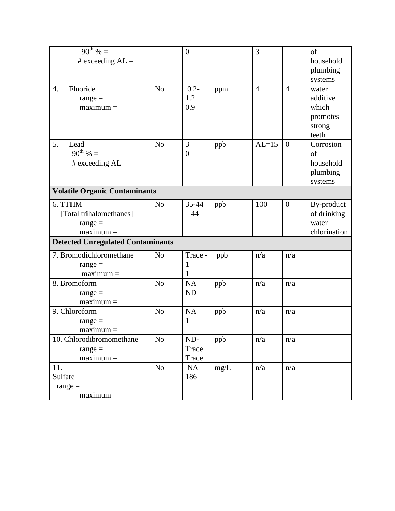| $90^{th}$ % =                            |                | $\boldsymbol{0}$ |      | 3              |                | of           |  |  |  |  |
|------------------------------------------|----------------|------------------|------|----------------|----------------|--------------|--|--|--|--|
| # exceeding $AL =$                       |                |                  |      |                |                | household    |  |  |  |  |
|                                          |                |                  |      |                |                | plumbing     |  |  |  |  |
|                                          |                |                  |      |                |                | systems      |  |  |  |  |
| Fluoride<br>$\overline{4}$ .             | N <sub>o</sub> | $0.2 -$          | ppm  | $\overline{4}$ | $\overline{4}$ | water        |  |  |  |  |
| $range =$                                |                | 1.2              |      |                |                | additive     |  |  |  |  |
| $maximum =$                              |                | 0.9              |      |                |                | which        |  |  |  |  |
|                                          |                |                  |      |                |                | promotes     |  |  |  |  |
|                                          |                |                  |      |                |                | strong       |  |  |  |  |
|                                          |                |                  |      |                |                | teeth        |  |  |  |  |
| 5.<br>Lead                               | No             | 3                | ppb  | $AL=15$        | $\overline{0}$ | Corrosion    |  |  |  |  |
| $90^{th}$ % =                            |                | $\boldsymbol{0}$ |      |                |                | of           |  |  |  |  |
| # exceeding $AL =$                       |                |                  |      |                |                | household    |  |  |  |  |
|                                          |                |                  |      |                |                | plumbing     |  |  |  |  |
|                                          |                |                  |      |                |                | systems      |  |  |  |  |
| <b>Volatile Organic Contaminants</b>     |                |                  |      |                |                |              |  |  |  |  |
| 6. TTHM                                  | N <sub>0</sub> | $35 - 44$        | ppb  | 100            | $\overline{0}$ | By-product   |  |  |  |  |
| [Total trihalomethanes]                  |                | 44               |      |                |                | of drinking  |  |  |  |  |
| $range =$                                |                |                  |      |                |                | water        |  |  |  |  |
| $maximum =$                              |                |                  |      |                |                | chlorination |  |  |  |  |
| <b>Detected Unregulated Contaminants</b> |                |                  |      |                |                |              |  |  |  |  |
| 7. Bromodichloromethane                  | N <sub>o</sub> | Trace -          | ppb  | n/a            | n/a            |              |  |  |  |  |
| $range =$                                |                | 1                |      |                |                |              |  |  |  |  |
| $maximum =$                              |                | 1                |      |                |                |              |  |  |  |  |
| 8. Bromoform                             | N <sub>o</sub> | <b>NA</b>        | ppb  | n/a            | n/a            |              |  |  |  |  |
| $range =$                                |                | <b>ND</b>        |      |                |                |              |  |  |  |  |
| $maximum =$                              |                |                  |      |                |                |              |  |  |  |  |
| 9. Chloroform                            | N <sub>o</sub> | <b>NA</b>        | ppb  | n/a            | n/a            |              |  |  |  |  |
| $range =$                                |                | 1                |      |                |                |              |  |  |  |  |
| $maximum =$                              |                |                  |      |                |                |              |  |  |  |  |
| 10. Chlorodibromomethane                 | No             | ND-              | ppb  | n/a            | n/a            |              |  |  |  |  |
| $range =$                                |                | Trace            |      |                |                |              |  |  |  |  |
| $maximum =$                              |                | Trace            |      |                |                |              |  |  |  |  |
| 11.                                      | No             | <b>NA</b>        | mg/L | n/a            | n/a            |              |  |  |  |  |
| Sulfate                                  |                | 186              |      |                |                |              |  |  |  |  |
| $range =$                                |                |                  |      |                |                |              |  |  |  |  |
| $maximum =$                              |                |                  |      |                |                |              |  |  |  |  |